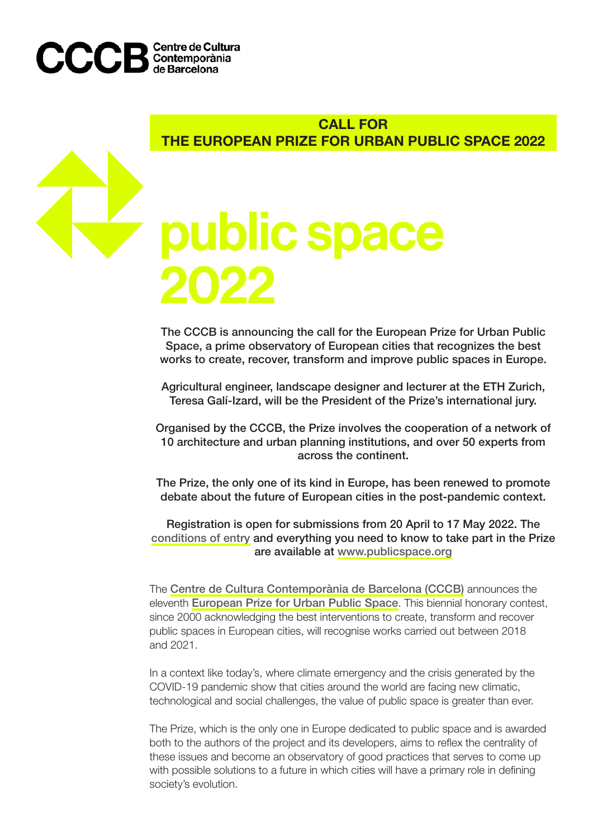

# CALL FOR THE EUROPEAN PRIZE FOR URBAN PUBLIC SPACE 2022

# public space

The CCCB is announcing the call for the European Prize for Urban Public Space, a prime observatory of European cities that recognizes the best works to create, recover, transform and improve public spaces in Europe.

Agricultural engineer, landscape designer and lecturer at the ETH Zurich, Teresa Galí-Izard, will be the President of the Prize's international jury.

Organised by the CCCB, the Prize involves the cooperation of a network of 10 architecture and urban planning institutions, and over 50 experts from across the continent.

The Prize, the only one of its kind in Europe, has been renewed to promote debate about the future of European cities in the post-pandemic context.

Registration is open for submissions from 20 April to 17 May 2022. The [conditions of entry](https://www.publicspace.org/documents/220568/2587355/2022+Public+Space+Prize+Rules+%281%29.pdf/e09c4c9b-1e68-dccc-7d7d-8924e9cacf80?version=1.0&t=1644229158663) and everything you need to know to take part in the Prize are available at [www.publicspace.org](https://www.publicspace.org/home)

The [Centre de Cultura Contemporània de Barcelona \(CCCB\)](https://www.cccb.org/en) announces the eleventh [European Prize for Urban Public Space](https://www.publicspace.org/the-prize). This biennial honorary contest, since 2000 acknowledging the best interventions to create, transform and recover public spaces in European cities, will recognise works carried out between 2018 and 2021.

In a context like today's, where climate emergency and the crisis generated by the COVID-19 pandemic show that cities around the world are facing new climatic, technological and social challenges, the value of public space is greater than ever.

The Prize, which is the only one in Europe dedicated to public space and is awarded both to the authors of the project and its developers, aims to reflex the centrality of these issues and become an observatory of good practices that serves to come up with possible solutions to a future in which cities will have a primary role in defining society's evolution.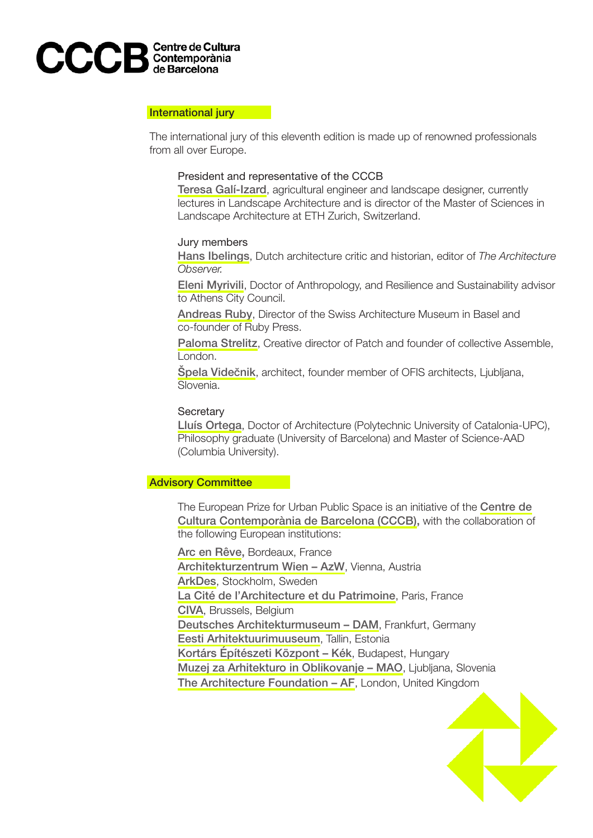

# International jury

The international jury of this eleventh edition is made up of renowned professionals from all over Europe.

# President and representative of the CCCB

[Teresa Galí-Izard](https://www.publicspace.org/authors/-/author/teresa-gal-c3-ad-izard), agricultural engineer and landscape designer, currently lectures in Landscape Architecture and is director of the Master of Sciences in Landscape Architecture at ETH Zurich, Switzerland.

# Jury members

[Hans Ibelings](https://www.publicspace.org/authors/-/author/hans-ibelings), Dutch architecture critic and historian, editor of *The Architecture Observer.*

[Eleni Myrivili](https://www.publicspace.org/authors/-/author/eleni-myrivili), Doctor of Anthropology, and Resilience and Sustainability advisor to Athens City Council.

[Andreas Ruby](https://www.publicspace.org/authors/-/author/andreas-ruby), Director of the Swiss Architecture Museum in Basel and co-founder of Ruby Press.

[Paloma Strelitz](https://www.publicspace.org/authors/-/author/paloma-strelitz-1), Creative director of Patch and founder of collective Assemble, London.

[Špela Vide](https://www.publicspace.org/authors/-/author/%C5%A0pela-vide%C4%8Dnik)čnik, architect, founder member of OFIS architects, Ljubljana, Slovenia.

# **Secretary**

[Lluís Ortega](https://www.publicspace.org/authors/-/author/lluis-ortega), Doctor of Architecture (Polytechnic University of Catalonia-UPC), Philosophy graduate (University of Barcelona) and Master of Science-AAD (Columbia University).

# Advisory Committee

The European Prize for Urban Public Space is an initiative of the [Centre de](https://www.cccb.org/en) [Cultura Contemporània de Barcelona \(CCCB\)](https://www.cccb.org/en), with the collaboration of the following European institutions:

[Arc en Rêve,](https://www.arcenreve.eu/) Bordeaux, France [Architekturzentrum Wien – AzW](https://www.azw.at/en/), Vienna, Austria [ArkDes](https://arkdes.se/), Stockholm, Sweden [La Cité de l'Architecture et du Patrimoine](https://www.citedelarchitecture.fr/fr), Paris, France [CIVA](https://civa.brussels/fr), Brussels, Belgium [Deutsches Architekturmuseum – DAM](https://dam-online.de/), Frankfurt, Germany [Eesti Arhitektuurimuuseum](https://www.arhitektuurimuuseum.ee/en/), Tallin, Estonia [Kortárs Építészeti Központ – Kék](http://kek.org.hu/en/), Budapest, Hungary [Muzej za Arhitekturo in Oblikovanje – MAO](https://mao.si/), Ljubljana, Slovenia [The Architecture Foundation – AF](https://www.architecturefoundation.org.uk/), London, United Kingdom

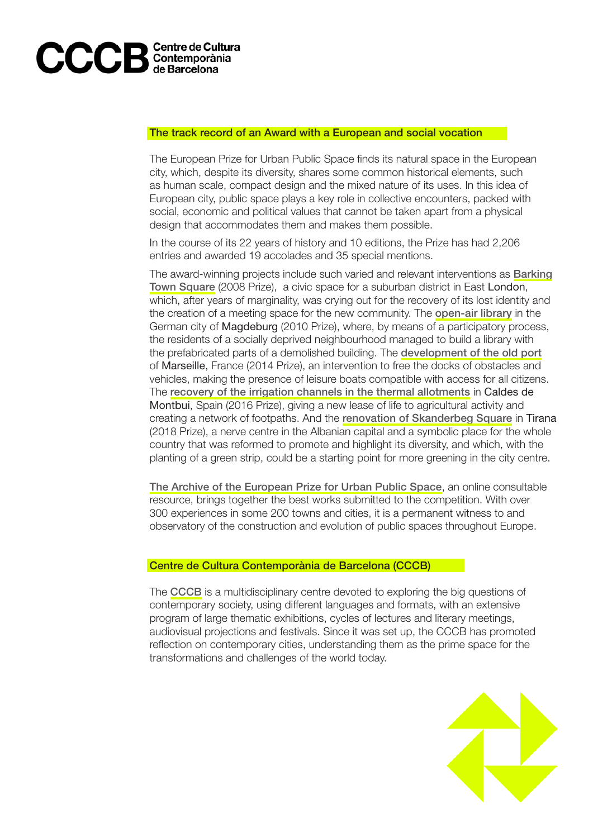

# The track record of an Award with a European and social vocation

The European Prize for Urban Public Space finds its natural space in the European city, which, despite its diversity, shares some common historical elements, such as human scale, compact design and the mixed nature of its uses. In this idea of European city, public space plays a key role in collective encounters, packed with social, economic and political values that cannot be taken apart from a physical design that accommodates them and makes them possible.

In the course of its 22 years of history and 10 editions, the Prize has had 2,206 entries and awarded 19 accolades and 35 special mentions.

The award-winning projects include such varied and relevant interventions as [Barking](https://www.publicspace.org/works/-/project/e061-barking-town-square) [Town Square](https://www.publicspace.org/works/-/project/e061-barking-town-square) (2008 Prize), a civic space for a suburban district in East London, which, after years of marginality, was crying out for the recovery of its lost identity and the creation of a meeting space for the new community. The [open-air library](https://www.publicspace.org/works/-/project/f084-open-air-library) in the German city of Magdeburg (2010 Prize), where, by means of a participatory process, the residents of a socially deprived neighbourhood managed to build a library with the prefabricated parts of a demolished building. The [development of the old port](https://www.publicspace.org/works/-/project/h193-redevelopment-of-the-old-port)  of Marseille, France (2014 Prize), an intervention to free the docks of obstacles and vehicles, making the presence of leisure boats compatible with access for all citizens. The [recovery of the irrigation channels in the thermal allotments](https://www.publicspace.org/works/-/project/j279-recovery-of-the-irrigation-system-at-the-thermal-orchards) in Caldes de Montbui, Spain (2016 Prize), giving a new lease of life to agricultural activity and creating a network of footpaths. And the [renovation of Skanderbeg Square](https://www.publicspace.org/works/-/project/k056-skanderbeg-square) in Tirana (2018 Prize), a nerve centre in the Albanian capital and a symbolic place for the whole country that was reformed to promote and highlight its diversity, and which, with the planting of a green strip, could be a starting point for more greening in the city centre.

[The Archive of the European Prize for Urban Public Space](https://www.publicspace.org/works), an online consultable resource, brings together the best works submitted to the competition. With over 300 experiences in some 200 towns and cities, it is a permanent witness to and observatory of the construction and evolution of public spaces throughout Europe.

# Centre de Cultura Contemporània de Barcelona (CCCB)

The [CCCB](https://www.cccb.org/en) is a multidisciplinary centre devoted to exploring the big questions of contemporary society, using different languages and formats, with an extensive program of large thematic exhibitions, cycles of lectures and literary meetings, audiovisual projections and festivals. Since it was set up, the CCCB has promoted reflection on contemporary cities, understanding them as the prime space for the transformations and challenges of the world today.